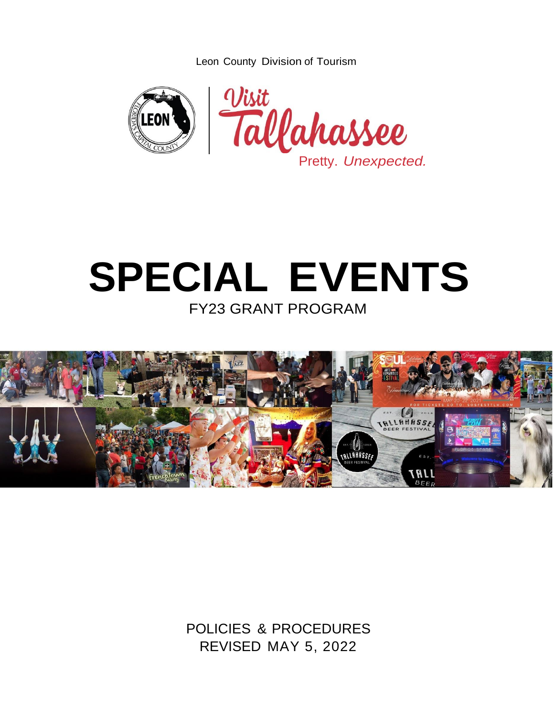Leon County Division of Tourism



# **SPECIAL EVENTS** FY23 GRANT PROGRAM



POLICIES & PROCEDURES REVISED MAY 5, 2022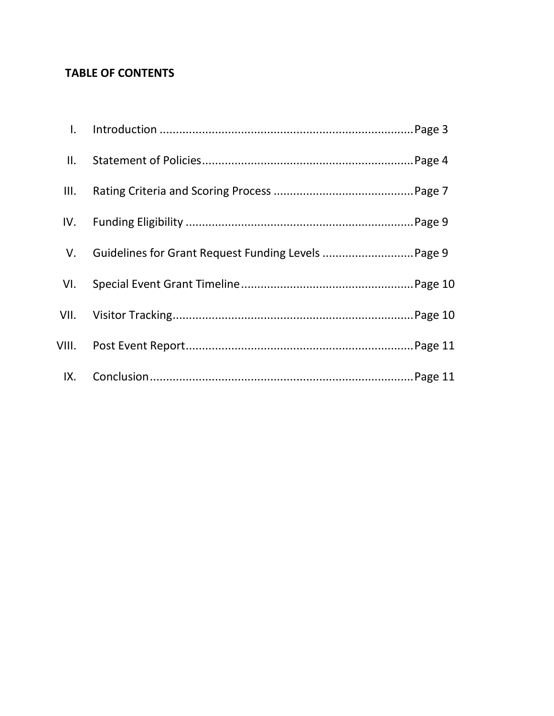## **TABLE OF CONTENTS**

| II.  |                                                     |
|------|-----------------------------------------------------|
| III. |                                                     |
|      |                                                     |
| V.   | Guidelines for Grant Request Funding Levels  Page 9 |
|      |                                                     |
|      |                                                     |
|      |                                                     |
|      |                                                     |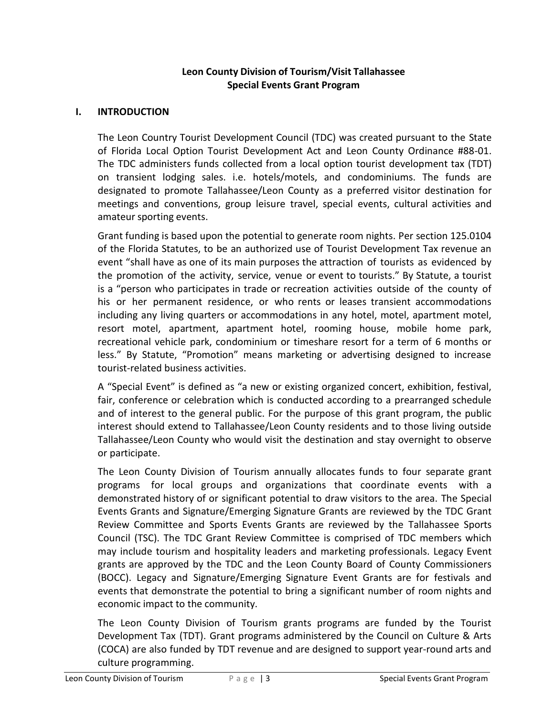## **Leon County Division of Tourism/Visit Tallahassee Special Events Grant Program**

#### **I. INTRODUCTION**

The Leon Country Tourist Development Council (TDC) was created pursuant to the State of Florida Local Option Tourist Development Act and Leon County Ordinance #88-01. The TDC administers funds collected from a local option tourist development tax (TDT) on transient lodging sales. i.e. hotels/motels, and condominiums. The funds are designated to promote Tallahassee/Leon County as a preferred visitor destination for meetings and conventions, group leisure travel, special events, cultural activities and amateur sporting events.

Grant funding is based upon the potential to generate room nights. Per section 125.0104 of the Florida Statutes, to be an authorized use of Tourist Development Tax revenue an event "shall have as one of its main purposes the attraction of tourists as evidenced by the promotion of the activity, service, venue or event to tourists." By Statute, a tourist is a "person who participates in trade or recreation activities outside of the county of his or her permanent residence, or who rents or leases transient accommodations including any living quarters or accommodations in any hotel, motel, apartment motel, resort motel, apartment, apartment hotel, rooming house, mobile home park, recreational vehicle park, condominium or timeshare resort for a term of 6 months or less." By Statute, "Promotion" means marketing or advertising designed to increase tourist-related business activities.

A "Special Event" is defined as "a new or existing organized concert, exhibition, festival, fair, conference or celebration which is conducted according to a prearranged schedule and of interest to the general public. For the purpose of this grant program, the public interest should extend to Tallahassee/Leon County residents and to those living outside Tallahassee/Leon County who would visit the destination and stay overnight to observe or participate.

The Leon County Division of Tourism annually allocates funds to four separate grant programs for local groups and organizations that coordinate events with a demonstrated history of or significant potential to draw visitors to the area. The Special Events Grants and Signature/Emerging Signature Grants are reviewed by the TDC Grant Review Committee and Sports Events Grants are reviewed by the Tallahassee Sports Council (TSC). The TDC Grant Review Committee is comprised of TDC members which may include tourism and hospitality leaders and marketing professionals. Legacy Event grants are approved by the TDC and the Leon County Board of County Commissioners (BOCC). Legacy and Signature/Emerging Signature Event Grants are for festivals and events that demonstrate the potential to bring a significant number of room nights and economic impact to the community.

The Leon County Division of Tourism grants programs are funded by the Tourist Development Tax (TDT). Grant programs administered by the Council on Culture & Arts (COCA) are also funded by TDT revenue and are designed to support year-round arts and culture programming.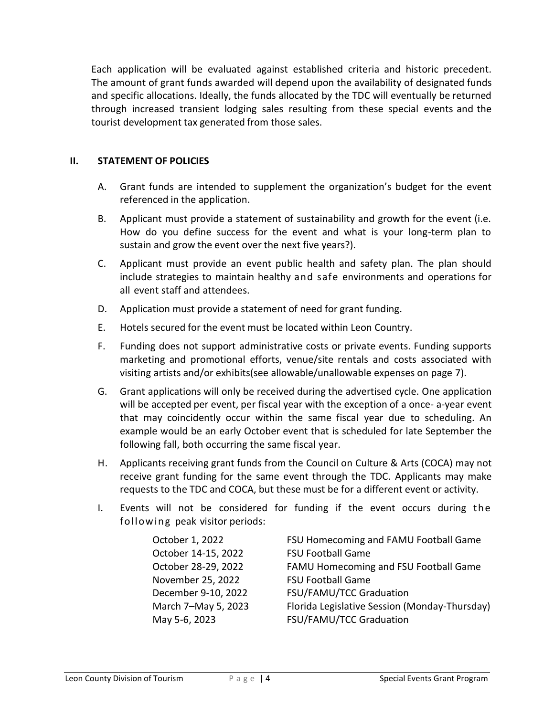Each application will be evaluated against established criteria and historic precedent. The amount of grant funds awarded will depend upon the availability of designated funds and specific allocations. Ideally, the funds allocated by the TDC will eventually be returned through increased transient lodging sales resulting from these special events and the tourist development tax generated from those sales.

#### **II. STATEMENT OF POLICIES**

- A. Grant funds are intended to supplement the organization's budget for the event referenced in the application.
- B. Applicant must provide a statement of sustainability and growth for the event (i.e. How do you define success for the event and what is your long-term plan to sustain and grow the event over the next five years?).
- C. Applicant must provide an event public health and safety plan. The plan should include strategies to maintain healthy and safe environments and operations for all event staff and attendees.
- D. Application must provide a statement of need for grant funding.
- E. Hotels secured for the event must be located within Leon Country.
- F. Funding does not support administrative costs or private events. Funding supports marketing and promotional efforts, venue/site rentals and costs associated with visiting artists and/or exhibits(see allowable/unallowable expenses on page 7).
- G. Grant applications will only be received during the advertised cycle. One application will be accepted per event, per fiscal year with the exception of a once- a-year event that may coincidently occur within the same fiscal year due to scheduling. An example would be an early October event that is scheduled for late September the following fall, both occurring the same fiscal year.
- H. Applicants receiving grant funds from the Council on Culture & Arts (COCA) may not receive grant funding for the same event through the TDC. Applicants may make requests to the TDC and COCA, but these must be for a different event or activity.
- I. Events will not be considered for funding if the event occurs during the following peak visitor periods:

| October 1, 2022     | FSU Homecoming and FAMU Football Game         |
|---------------------|-----------------------------------------------|
| October 14-15, 2022 | <b>FSU Football Game</b>                      |
| October 28-29, 2022 | FAMU Homecoming and FSU Football Game         |
| November 25, 2022   | <b>FSU Football Game</b>                      |
| December 9-10, 2022 | FSU/FAMU/TCC Graduation                       |
| March 7-May 5, 2023 | Florida Legislative Session (Monday-Thursday) |
| May 5-6, 2023       | FSU/FAMU/TCC Graduation                       |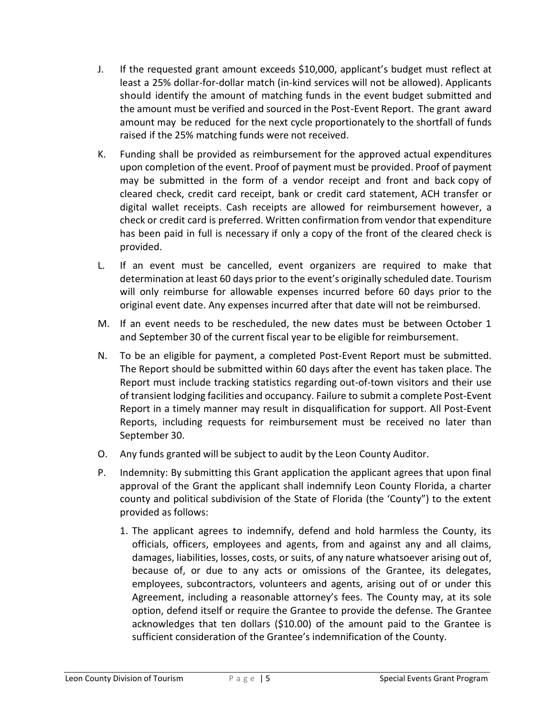- J. If the requested grant amount exceeds \$10,000, applicant's budget must reflect at least a 25% dollar-for-dollar match (in-kind services will not be allowed). Applicants should identify the amount of matching funds in the event budget submitted and the amount must be verified and sourced in the Post-Event Report. The grant award amount may be reduced for the next cycle proportionately to the shortfall of funds raised if the 25% matching funds were not received.
- K. Funding shall be provided as reimbursement for the approved actual expenditures upon completion of the event. Proof of payment must be provided. Proof of payment may be submitted in the form of a vendor receipt and front and back copy of cleared check, credit card receipt, bank or credit card statement, ACH transfer or digital wallet receipts. Cash receipts are allowed for reimbursement however, a check or credit card is preferred. Written confirmation from vendor that expenditure has been paid in full is necessary if only a copy of the front of the cleared check is provided.
- L. If an event must be cancelled, event organizers are required to make that determination at least 60 days prior to the event's originally scheduled date. Tourism will only reimburse for allowable expenses incurred before 60 days prior to the original event date. Any expenses incurred after that date will not be reimbursed.
- M. If an event needs to be rescheduled, the new dates must be between October 1 and September 30 of the current fiscal year to be eligible for reimbursement.
- N. To be an eligible for payment, a completed Post-Event Report must be submitted. The Report should be submitted within 60 days after the event has taken place. The Report must include tracking statistics regarding out-of-town visitors and their use of transient lodging facilities and occupancy. Failure to submit a complete Post-Event Report in a timely manner may result in disqualification for support. All Post-Event Reports, including requests for reimbursement must be received no later than September 30.
- O. Any funds granted will be subject to audit by the Leon County Auditor.
- P. Indemnity: By submitting this Grant application the applicant agrees that upon final approval of the Grant the applicant shall indemnify Leon County Florida, a charter county and political subdivision of the State of Florida (the 'County") to the extent provided as follows:
	- 1. The applicant agrees to indemnify, defend and hold harmless the County, its officials, officers, employees and agents, from and against any and all claims, damages, liabilities, losses, costs, or suits, of any nature whatsoever arising out of, because of, or due to any acts or omissions of the Grantee, its delegates, employees, subcontractors, volunteers and agents, arising out of or under this Agreement, including a reasonable attorney's fees. The County may, at its sole option, defend itself or require the Grantee to provide the defense. The Grantee acknowledges that ten dollars (\$10.00) of the amount paid to the Grantee is sufficient consideration of the Grantee's indemnification of the County.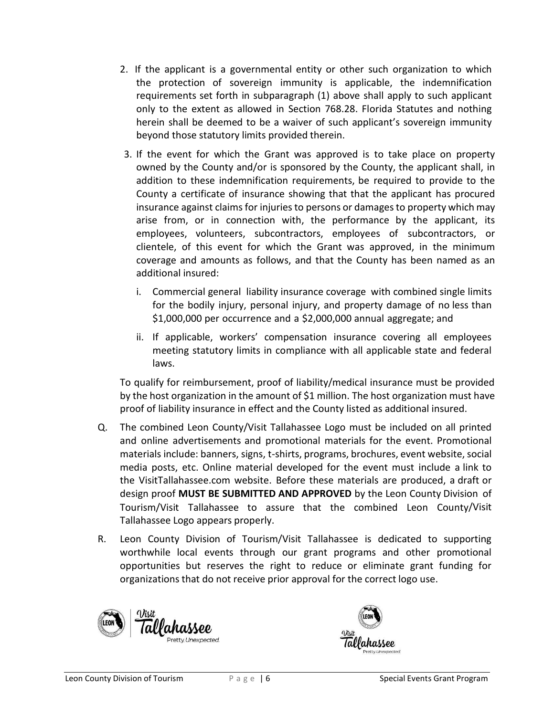- 2. If the applicant is a governmental entity or other such organization to which the protection of sovereign immunity is applicable, the indemnification requirements set forth in subparagraph (1) above shall apply to such applicant only to the extent as allowed in Section 768.28. Florida Statutes and nothing herein shall be deemed to be a waiver of such applicant's sovereign immunity beyond those statutory limits provided therein.
- 3. If the event for which the Grant was approved is to take place on property owned by the County and/or is sponsored by the County, the applicant shall, in addition to these indemnification requirements, be required to provide to the County a certificate of insurance showing that that the applicant has procured insurance against claims for injuries to persons or damages to property which may arise from, or in connection with, the performance by the applicant, its employees, volunteers, subcontractors, employees of subcontractors, or clientele, of this event for which the Grant was approved, in the minimum coverage and amounts as follows, and that the County has been named as an additional insured:
	- i. Commercial general liability insurance coverage with combined single limits for the bodily injury, personal injury, and property damage of no less than \$1,000,000 per occurrence and a \$2,000,000 annual aggregate; and
	- ii. If applicable, workers' compensation insurance covering all employees meeting statutory limits in compliance with all applicable state and federal laws.

To qualify for reimbursement, proof of liability/medical insurance must be provided by the host organization in the amount of \$1 million. The host organization must have proof of liability insurance in effect and the County listed as additional insured.

- Q. The combined Leon County/Visit Tallahassee Logo must be included on all printed and online advertisements and promotional materials for the event. Promotional materials include: banners, signs, t-shirts, programs, brochures, event website, social media posts, etc. Online material developed for the event must include a link to the VisitTallahassee.com website. Before these materials are produced, a draft or design proof **MUST BE SUBMITTED AND APPROVED** by the Leon County Division of Tourism/Visit Tallahassee to assure that the combined Leon County/Visit Tallahassee Logo appears properly.
- R. Leon County Division of Tourism/Visit Tallahassee is dedicated to supporting worthwhile local events through our grant programs and other promotional opportunities but reserves the right to reduce or eliminate grant funding for organizations that do not receive prior approval for the correct logo use.



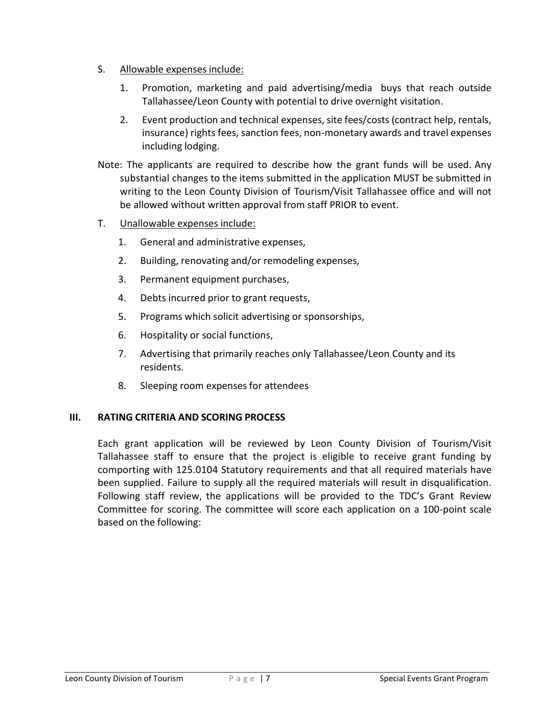- S. Allowable expenses include:
	- 1. Promotion, marketing and paid advertising/media buys that reach outside Tallahassee/Leon County with potential to drive overnight visitation.
	- 2. Event production and technical expenses, site fees/costs (contract help, rentals, insurance) rights fees, sanction fees, non-monetary awards and travel expenses including lodging.
- Note: The applicants are required to describe how the grant funds will be used. Any substantial changes to the items submitted in the application MUST be submitted in writing to the Leon County Division of Tourism/Visit Tallahassee office and will not be allowed without written approval from staff PRIOR to event.
- T. Unallowable expenses include:
	- 1. General and administrative expenses,
	- 2. Building, renovating and/or remodeling expenses,
	- 3. Permanent equipment purchases,
	- 4. Debts incurred prior to grant requests,
	- 5. Programs which solicit advertising or sponsorships,
	- 6. Hospitality or social functions,
	- 7. Advertising that primarily reaches only Tallahassee/Leon County and its residents.
	- 8. Sleeping room expensesfor attendees

#### **III. RATING CRITERIA AND SCORING PROCESS**

Each grant application will be reviewed by Leon County Division of Tourism/Visit Tallahassee staff to ensure that the project is eligible to receive grant funding by comporting with 125.0104 Statutory requirements and that all required materials have been supplied. Failure to supply all the required materials will result in disqualification. Following staff review, the applications will be provided to the TDC's Grant Review Committee for scoring. The committee will score each application on a 100-point scale based on the following: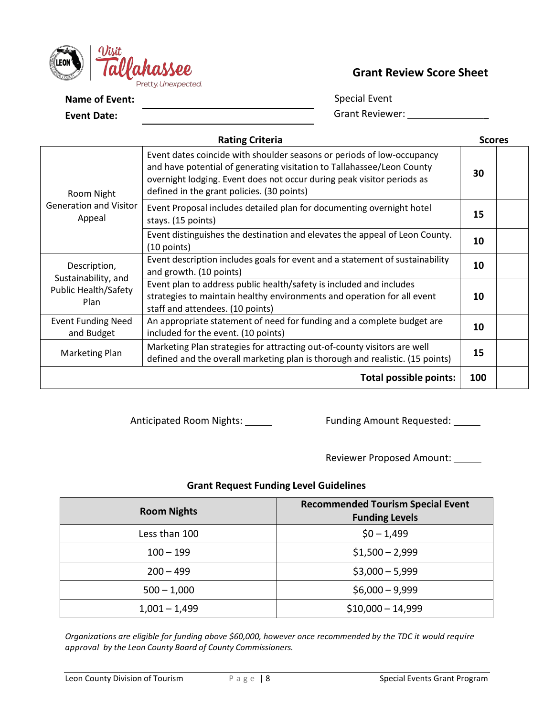

## **Grant Review Score Sheet**

**Name of Event:** 

**Event Date:**

 Special Event Grant Reviewer: \_\_\_\_\_\_\_\_\_\_\_\_\_\_\_\_\_

| <b>Rating Criteria</b>                  |                                                                                                                                                                                                                                                                          |     |  |  |
|-----------------------------------------|--------------------------------------------------------------------------------------------------------------------------------------------------------------------------------------------------------------------------------------------------------------------------|-----|--|--|
| Room Night                              | Event dates coincide with shoulder seasons or periods of low-occupancy<br>and have potential of generating visitation to Tallahassee/Leon County<br>overnight lodging. Event does not occur during peak visitor periods as<br>defined in the grant policies. (30 points) | 30  |  |  |
| <b>Generation and Visitor</b><br>Appeal | Event Proposal includes detailed plan for documenting overnight hotel<br>stays. (15 points)                                                                                                                                                                              | 15  |  |  |
|                                         | Event distinguishes the destination and elevates the appeal of Leon County.<br>$(10$ points)                                                                                                                                                                             | 10  |  |  |
| Description,<br>Sustainability, and     | Event description includes goals for event and a statement of sustainability<br>and growth. (10 points)                                                                                                                                                                  | 10  |  |  |
| <b>Public Health/Safety</b><br>Plan     | Event plan to address public health/safety is included and includes<br>strategies to maintain healthy environments and operation for all event<br>staff and attendees. (10 points)                                                                                       | 10  |  |  |
| <b>Event Funding Need</b><br>and Budget | An appropriate statement of need for funding and a complete budget are<br>included for the event. (10 points)                                                                                                                                                            | 10  |  |  |
| <b>Marketing Plan</b>                   | Marketing Plan strategies for attracting out-of-county visitors are well<br>defined and the overall marketing plan is thorough and realistic. (15 points)                                                                                                                | 15  |  |  |
|                                         | <b>Total possible points:</b>                                                                                                                                                                                                                                            | 100 |  |  |

Anticipated Room Nights: \_\_\_\_\_\_ Funding Amount Requested: \_\_\_\_\_

Reviewer Proposed Amount:

### **Grant Request Funding Level Guidelines**

| <b>Room Nights</b> | <b>Recommended Tourism Special Event</b><br><b>Funding Levels</b> |
|--------------------|-------------------------------------------------------------------|
| Less than 100      | $$0 - 1,499$                                                      |
| $100 - 199$        | $$1,500 - 2,999$                                                  |
| $200 - 499$        | $$3,000 - 5,999$                                                  |
| $500 - 1,000$      | $$6,000 - 9,999$                                                  |
| $1,001 - 1,499$    | $$10,000 - 14,999$                                                |

*Organizations are eligible for funding above \$60,000, however once recommended by the TDC it would require approval by the Leon County Board of County Commissioners.*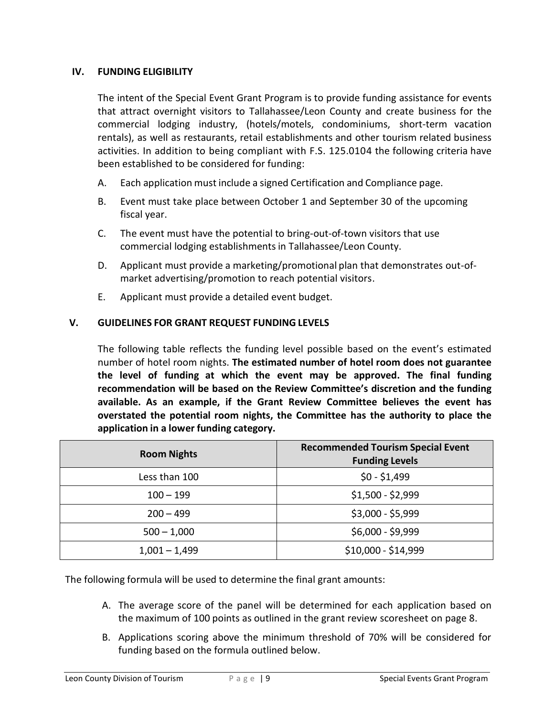#### **IV. FUNDING ELIGIBILITY**

The intent of the Special Event Grant Program is to provide funding assistance for events that attract overnight visitors to Tallahassee/Leon County and create business for the commercial lodging industry, (hotels/motels, condominiums, short-term vacation rentals), as well as restaurants, retail establishments and other tourism related business activities. In addition to being compliant with F.S. 125.0104 the following criteria have been established to be considered for funding:

- A. Each application must include a signed Certification and Compliance page.
- B. Event must take place between October 1 and September 30 of the upcoming fiscal year.
- C. The event must have the potential to bring-out-of-town visitors that use commercial lodging establishmentsin Tallahassee/Leon County.
- D. Applicant must provide a marketing/promotional plan that demonstrates out-ofmarket advertising/promotion to reach potential visitors.
- E. Applicant must provide a detailed event budget.

## **V. GUIDELINES FOR GRANT REQUEST FUNDING LEVELS**

The following table reflects the funding level possible based on the event's estimated number of hotel room nights. **The estimated number of hotel room does not guarantee the level of funding at which the event may be approved. The final funding recommendation will be based on the Review Committee's discretion and the funding available. As an example, if the Grant Review Committee believes the event has overstated the potential room nights, the Committee has the authority to place the application in a lower funding category.**

| <b>Room Nights</b> | <b>Recommended Tourism Special Event</b><br><b>Funding Levels</b> |
|--------------------|-------------------------------------------------------------------|
| Less than 100      | $$0 - $1,499$                                                     |
| $100 - 199$        | $$1,500 - $2,999$                                                 |
| $200 - 499$        | $$3,000 - $5,999$                                                 |
| $500 - 1,000$      | \$6,000 - \$9,999                                                 |
| $1,001 - 1,499$    | \$10,000 - \$14,999                                               |

The following formula will be used to determine the final grant amounts:

- A. The average score of the panel will be determined for each application based on the maximum of 100 points as outlined in the grant review scoresheet on page 8.
- B. Applications scoring above the minimum threshold of 70% will be considered for funding based on the formula outlined below.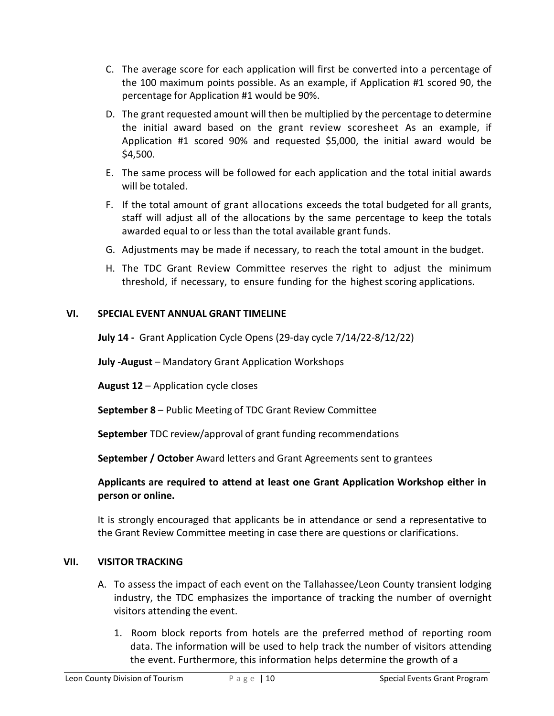- C. The average score for each application will first be converted into a percentage of the 100 maximum points possible. As an example, if Application #1 scored 90, the percentage for Application #1 would be 90%.
- D. The grant requested amount will then be multiplied by the percentage to determine the initial award based on the grant review scoresheet As an example, if Application #1 scored 90% and requested \$5,000, the initial award would be \$4,500.
- E. The same process will be followed for each application and the total initial awards will be totaled.
- F. If the total amount of grant allocations exceeds the total budgeted for all grants, staff will adjust all of the allocations by the same percentage to keep the totals awarded equal to or less than the total available grant funds.
- G. Adjustments may be made if necessary, to reach the total amount in the budget.
- H. The TDC Grant Review Committee reserves the right to adjust the minimum threshold, if necessary, to ensure funding for the highest scoring applications.

### **VI. SPECIAL EVENT ANNUAL GRANT TIMELINE**

**July 14 -** Grant Application Cycle Opens (29-day cycle 7/14/22-8/12/22)

**July -August** – Mandatory Grant Application Workshops

**August 12** – Application cycle closes

**September 8** – Public Meeting of TDC Grant Review Committee

**September** TDC review/approval of grant funding recommendations

**September / October** Award letters and Grant Agreements sent to grantees

### **Applicants are required to attend at least one Grant Application Workshop either in person or online.**

It is strongly encouraged that applicants be in attendance or send a representative to the Grant Review Committee meeting in case there are questions or clarifications.

### **VII. VISITOR TRACKING**

- A. To assess the impact of each event on the Tallahassee/Leon County transient lodging industry, the TDC emphasizes the importance of tracking the number of overnight visitors attending the event.
	- 1. Room block reports from hotels are the preferred method of reporting room data. The information will be used to help track the number of visitors attending the event. Furthermore, this information helps determine the growth of a